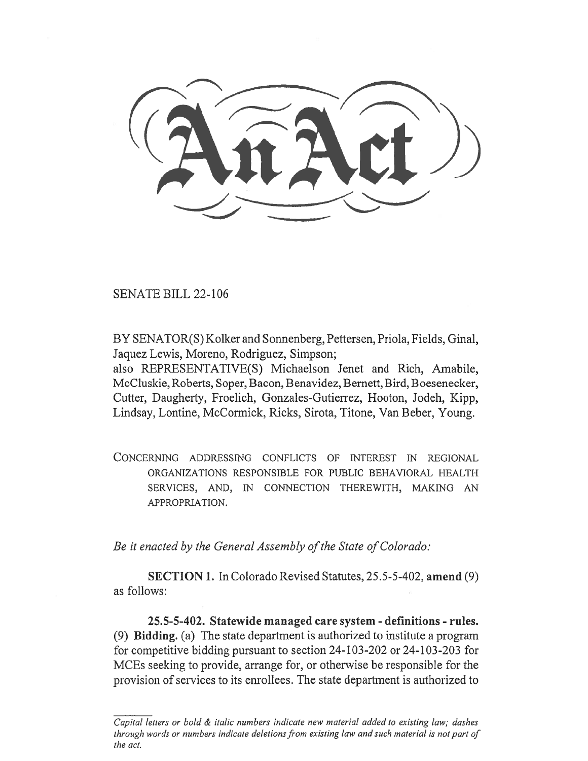SENATE BILL 22-106

BY SENATOR(S) Kolker and Sonnenberg, Pettersen, Priola, Fields, Ginal, Jaquez Lewis, Moreno, Rodriguez, Simpson;

also REPRESENTATIVE(S) Michaelson Jenet and Rich, Amabile, McCluskie, Roberts, Soper, Bacon, Benavidez, Bernett, Bird, B oesenecker, Cutter, Daugherty, Froelich, Gonzales-Gutierrez, Hooton, Jodeh, Kipp, Lindsay, Lontine, McCormick, Ricks, Sirota, Titone, Van Beber, Young.

CONCERNING ADDRESSING CONFLICTS OF INTEREST IN REGIONAL ORGANIZATIONS RESPONSIBLE FOR PUBLIC BEHAVIORAL HEALTH SERVICES, AND, IN CONNECTION THEREWITH, MAKING AN APPROPRIATION.

Be it enacted by the General Assembly of the State of Colorado:

SECTION 1. In Colorado Revised Statutes, 25.5-5-402, amend (9) as follows:

25.5-5-402. Statewide managed care system - definitions - rules. (9) Bidding. (a) The state department is authorized to institute a program for competitive bidding pursuant to section 24-103-202 or 24-103-203 for MCEs seeking to provide, arrange for, or otherwise be responsible for the provision of services to its enrollees. The state department is authorized to

Capital letters or bold & italic numbers indicate new material added to existing law; dashes through words or numbers indicate deletions from existing law and such material is not part of the act.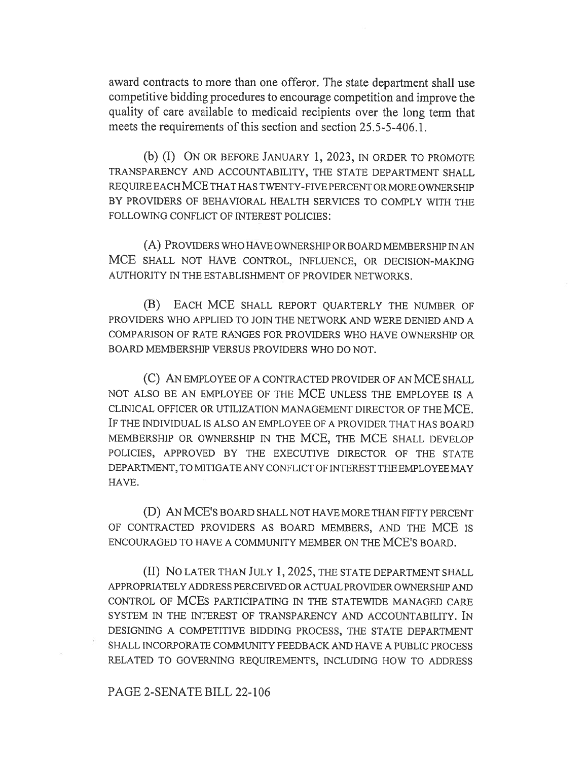award contracts to more than one offeror. The state department shall use competitive bidding procedures to encourage competition and improve the quality of care available to medicaid recipients over the long term that meets the requirements of this section and section 25.5-5-406.1.

(b) (I) ON OR BEFORE JANUARY 1, 2023, IN ORDER TO PROMOTE TRANSPARENCY AND ACCOUNTABILITY, THE STATE DEPARTMENT SHALL REQUIRE EACH MCE THAT HAS TWENTY-FIVE PERCENT OR MORE OWNERSHIP BY PROVIDERS OF BEHAVIORAL HEALTH SERVICES TO COMPLY WITH THE FOLLOWING CONFLICT OF INTEREST POLICIES:

(A) PROVIDERS WHO HAVE OWNERSHIP OR BOARD MEMBERSHIP IN AN MCE SHALL NOT HAVE CONTROL, INFLUENCE, OR DECISION-MAKING AUTHORITY IN THE ESTABLISHMENT OF PROVIDER NETWORKS.

(B) EACH MCE SHALL REPORT QUARTERLY THE NUMBER OF PROVIDERS WHO APPLIED TO JOIN THE NETWORK AND WERE DENIED AND A COMPARISON OF RATE RANGES FOR PROVIDERS WHO HAVE OWNERSHIP OR BOARD MEMBERSHIP VERSUS PROVIDERS WHO DO NOT.

(C) AN EMPLOYEE OF A CONTRACTED PROVIDER OF AN MCE SHALL NOT ALSO BE AN EMPLOYEE OF THE MCE UNLESS THE EMPLOYEE IS A CLINICAL OFFICER OR UTILIZATION MANAGEMENT DIRECTOR OF THE MCE. IF THE INDIVIDUAL IS ALSO AN EMPLOYEE OF A PROVIDER THAT HAS BOARD MEMBERSHIP OR OWNERSHIP IN THE MCE, THE MCE SHALL DEVELOP POLICIES, APPROVED BY THE EXECUTIVE DIRECTOR OF THE STATE DEPARTMENT, TO MITIGATE ANY CONFLICT OF INTEREST THE EMPLOYEE MAY HAVE.

(D) AN MCE'S BOARD SHALL NOT HAVE MORE THAN FIFTY PERCENT OF CONTRACTED PROVIDERS AS BOARD MEMBERS, AND THE MCE IS ENCOURAGED TO HAVE A COMMUNITY MEMBER ON THE MCE'S BOARD.

(II) No LATER THAN JULY 1, 2025, THE STATE DEPARTMENT SHALL APPROPRIATELY ADDRESS PERCEIVED OR ACTUAL PROVIDER OWNERSHIP AND CONTROL OF MCES PARTICIPATING IN THE STATEWIDE MANAGED CARE SYSTEM IN THE INTEREST OF TRANSPARENCY AND ACCOUNTABILITY. IN DESIGNING A COMPETITIVE BIDDING PROCESS, THE STATE DEPARTMENT SHALL INCORPORATE COMMUNITY FEEDBACK AND HAVE A PUBLIC PROCESS RELATED TO GOVERNING REQUIREMENTS, INCLUDING HOW TO ADDRESS

PAGE 2-SENATE BILL 22-106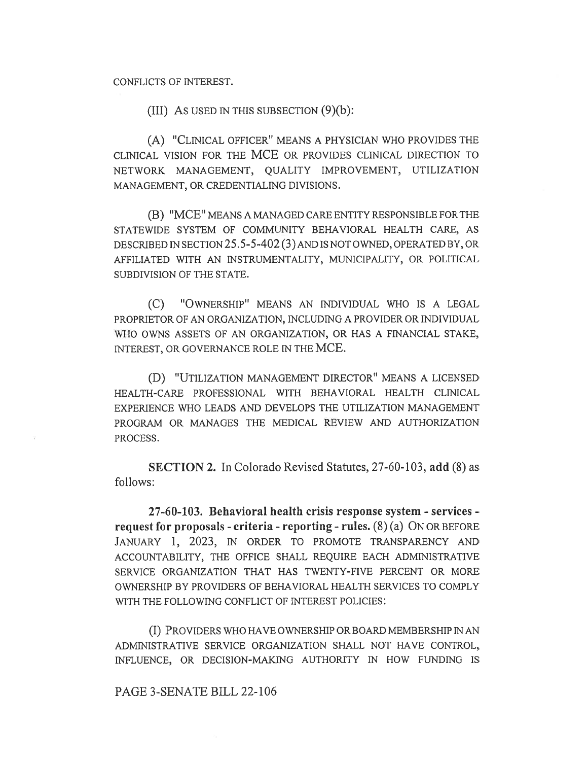## CONFLICTS OF INTEREST.

(III) As used in this subsection  $(9)(b)$ :

(A) "CLINICAL OFFICER" MEANS A PHYSICIAN WHO PROVIDES THE CLINICAL VISION FOR THE MCE OR PROVIDES CLINICAL DIRECTION TO NETWORK MANAGEMENT, QUALITY IMPROVEMENT, UTILIZATION MANAGEMENT, OR CREDENTIALING DIVISIONS.

(B) "MCE" MEANS A MANAGED CARE ENTITY RESPONSIBLE FOR THE STATEWIDE SYSTEM OF COMMUNITY BEHAVIORAL HEALTH CARE, AS DESCRIBED IN SECTION 25.5-5-402 (3) AND IS NOT OWNED, OPERATED BY, OR AFFILIATED WITH AN INSTRUMENTALITY, MUNICIPALITY, OR POLITICAL SUBDIVISION OF THE STATE.

(C) "OWNERSHIP" MEANS AN INDIVIDUAL WHO IS A LEGAL PROPRIETOR OF AN ORGANIZATION, INCLUDING A PROVIDER OR INDIVIDUAL WHO OWNS ASSETS OF AN ORGANIZATION, OR HAS A FINANCIAL STAKE, INTEREST, OR GOVERNANCE ROLE IN THE MCE.

(D) "UTILIZATION MANAGEMENT DIRECTOR" MEANS A LICENSED HEALTH-CARE PROFESSIONAL WITH BEHAVIORAL HEALTH CLINICAL EXPERIENCE WHO LEADS AND DEVELOPS THE UTILIZATION MANAGEMENT PROGRAM OR MANAGES THE MEDICAL REVIEW AND AUTHORIZATION PROCESS.

SECTION 2. In Colorado Revised Statutes, 27-60-103, add (8) as follows:

27-60-103. Behavioral health crisis response system - services request for proposals - criteria - reporting - rules.  $(8)$  (a) ON OR BEFORE JANUARY 1, 2023, IN ORDER TO PROMOTE TRANSPARENCY AND ACCOUNTABILITY, THE OFFICE SHALL REQUIRE EACH ADMINISTRATIVE SERVICE ORGANIZATION THAT HAS TWENTY-FIVE PERCENT OR MORE OWNERSHIP BY PROVIDERS OF BEHAVIORAL HEALTH SERVICES TO COMPLY WITH THE FOLLOWING CONFLICT OF INTEREST POLICIES:

(I) PROVIDERS WHO HAVE OWNERSHIP OR BOARD MEMBERSHIP IN AN ADMINISTRATIVE SERVICE ORGANIZATION SHALL NOT HAVE CONTROL, INFLUENCE, OR DECISION-MAKING AUTHORITY IN HOW FUNDING IS

PAGE 3-SENATE BILL 22-106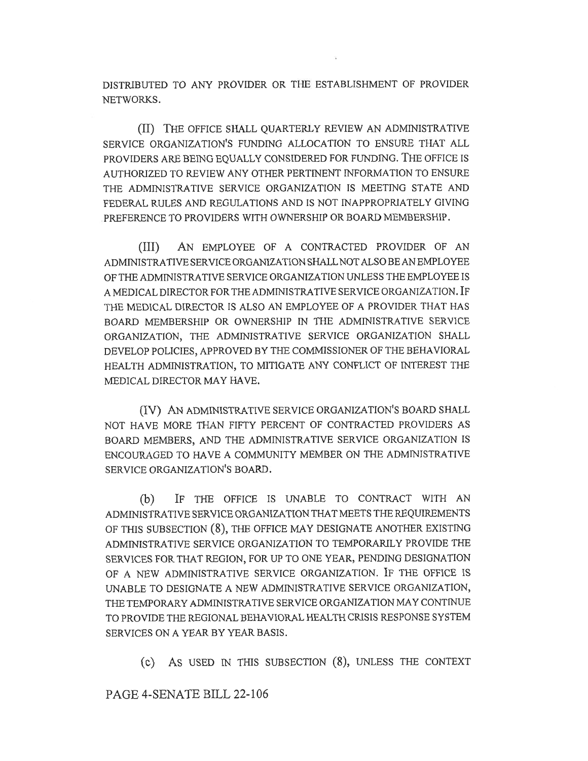DISTRIBUTED TO ANY PROVIDER OR THE ESTABLISHMENT OF PROVIDER NETWORKS.

(II) THE OFFICE SHALL QUARTERLY REVIEW AN ADMINISTRATIVE SERVICE ORGANIZATION'S FUNDING ALLOCATION TO ENSURE THAT ALL PROVIDERS ARE BEING EQUALLY CONSIDERED FOR FUNDING. THE OFFICE IS AUTHORIZED TO REVIEW ANY OTHER PERTINENT INFORMATION TO ENSURE THE ADMINISTRATIVE SERVICE ORGANIZATION IS MEETING STATE AND FEDERAL RULES AND REGULATIONS AND IS NOT INAPPROPRIATELY GIVING PREFERENCE TO PROVIDERS WITH OWNERSHIP OR BOARD MEMBERSHIP.

(III) AN EMPLOYEE OF A CONTRACTED PROVIDER OF AN ADMINISTRATIVE SERVICE ORGANIZATION SHALL NOT ALSO BE AN EMPLOYEE OF THE ADMINISTRATIVE SERVICE ORGANIZATION UNLESS THE EMPLOYEE IS A MEDICAL DIRECTOR FOR THE ADMINISTRATIVE SERVICE ORGANIZATION. IF THE MEDICAL DIRECTOR IS ALSO AN EMPLOYEE OF A PROVIDER THAT HAS BOARD MEMBERSHIP OR OWNERSHIP IN TIIE ADMINISTRATIVE SERVICE ORGANIZATION, THE ADMINISTRATIVE SERVICE ORGANIZATION SHALL DEVELOP POLICIES, APPROVED BY THE COMMISSIONER OF THE BEHAVIORAL HEALTH ADMINISTRATION, TO MITIGATE ANY CONFLICT OF INTEREST THE MEDICAL DIRECTOR MAY HAVE.

(IV) AN ADMINISTRATIVE SERVICE ORGANIZATION'S BOARD SHALL NOT HAVE MORE THAN FIFTY PERCENT OF CONTRACTED PROVIDERS AS BOARD MEMBERS, AND THE ADMINISTRATIVE SERVICE ORGANIZATION IS ENCOURAGED TO HAVE A COMMUNITY MEMBER ON THE ADMINISTRATIVE SERVICE ORGANIZATION'S BOARD.

(b) IF THE OFFICE IS UNABLE TO CONTRACT WITH AN ADMINISTRATIVE SERVICE ORGANIZATION THAT MEETS THE REQUIREMENTS OF THIS SUBSECTION (8), THE OFFICE MAY DESIGNATE ANOTHER EXISTING ADMINISTRATIVE SERVICE ORGANIZATION TO TEMPORARILY PROVIDE THE SERVICES FOR THAT REGION, FOR UP TO ONE YEAR, PENDING DESIGNATION OF A NEW ADMINISTRATIVE SERVICE ORGANIZATION. IF THE OFFICE IS UNABLE TO DESIGNATE A NEW ADMINISTRATIVE SERVICE ORGANIZATION, THE TEMPORARY ADMINISTRATIVE SERVICE ORGANIZATION MAY CONTINUE TO PROVIDE THE REGIONAL BEHAVIORAL HEALTH CRISIS RESPONSE SYSTEM SERVICES ON A YEAR BY YEAR BASIS.

(c) AS USED IN THIS SUBSECTION (8), UNLESS THE CONTEXT

PAGE 4-SENATE BILL 22-106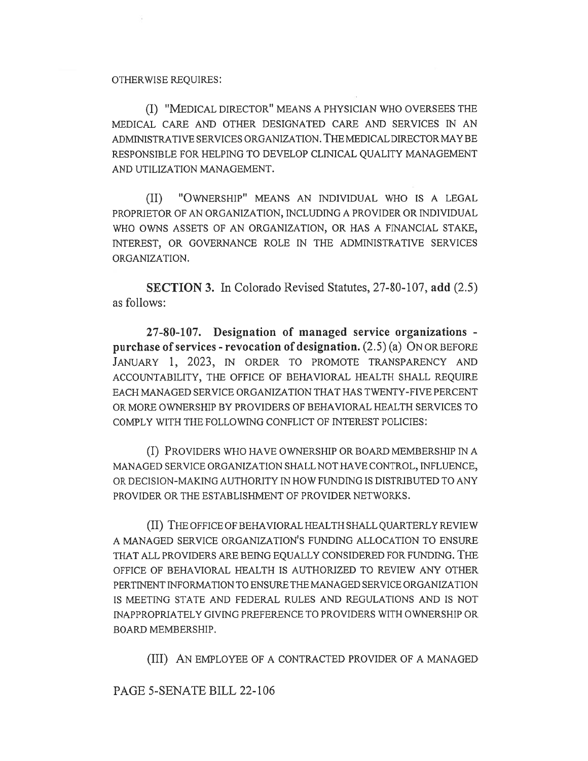## OTHERWISE REQUIRES:

(I) "MEDICAL DIRECTOR" MEANS A PHYSICIAN WHO OVERSEES THE MEDICAL CARE AND OTHER DESIGNATED CARE AND SERVICES IN AN ADMINISTRATIVE SERVICES ORGANIZATION. THE MEDICAL DIRECTOR MAY BE RESPONSIBLE FOR HELPING TO DEVELOP CLINICAL QUALITY MANAGEMENT AND UTILIZATION MANAGEMENT.

(II) "OWNERSHIP" MEANS AN INDIVIDUAL WHO IS A LEGAL PROPRIETOR OF AN ORGANIZATION, INCLUDING A PROVIDER OR INDIVIDUAL WHO OWNS ASSETS OF AN ORGANIZATION, OR HAS A FINANCIAL STAKE, INTEREST, OR GOVERNANCE ROLE IN THE ADMINISTRATIVE SERVICES ORGANIZATION.

SECTION 3. In Colorado Revised Statutes, 27-80-107, add (2.5) as follows:

27-80-107. Designation of managed service organizations purchase of services - revocation of designation. (2.5) (a) ON OR BEFORE JANUARY 1, 2023, IN ORDER TO PROMOTE TRANSPARENCY AND ACCOUNTABILITY, THE OFFICE OF BEHAVIORAL HEALTH SHALL REQUIRE EACH MANAGED SERVICE ORGANIZATION THAT HAS TWENTY-FIVE PERCENT OR MORE OWNERSHIP BY PROVIDERS OF BEHAVIORAL HEALTH SERVICES TO COMPLY WITH THE FOLLOWING CONFLICT OF INTEREST POLICIES:

(I) PROVIDERS WHO HAVE OWNERSHIP OR BOARD MEMBERSHIP IN A MANAGED SERVICE ORGANIZATION SHALL NOT HAVE CONTROL, INFLUENCE, OR DECISION-MAKING AUTHORITY IN HOW FUNDING IS DISTRIBUTED TO ANY PROVIDER OR THE ESTABLISHMENT OF PROVIDER NETWORKS.

(II) THE OFFICE OF BEHAVIORAL HEALTH SHALL QUARTERLY REVIEW A MANAGED SERVICE ORGANIZATION'S FUNDING ALLOCATION TO ENSURE THAT ALL PROVIDERS ARE BEING EQUALLY CONSIDERED FOR FUNDING. THE OFFICE OF BEHAVIORAL HEALTH IS AUTHORIZED TO REVIEW ANY OTHER PERTINENT INFORMATION TO ENSURE THE MANAGED SERVICE ORGANIZATION IS MEETING STATE AND FEDERAL RULES AND REGULATIONS AND IS NOT INAPPROPRIATELY GIVING PREFERENCE TO PROVIDERS WITH OWNERSHIP OR BOARD MEMBERSHIP.

(III) AN EMPLOYEE OF A CONTRACTED PROVIDER OF A MANAGED

PAGE 5-SENATE BILL 22-106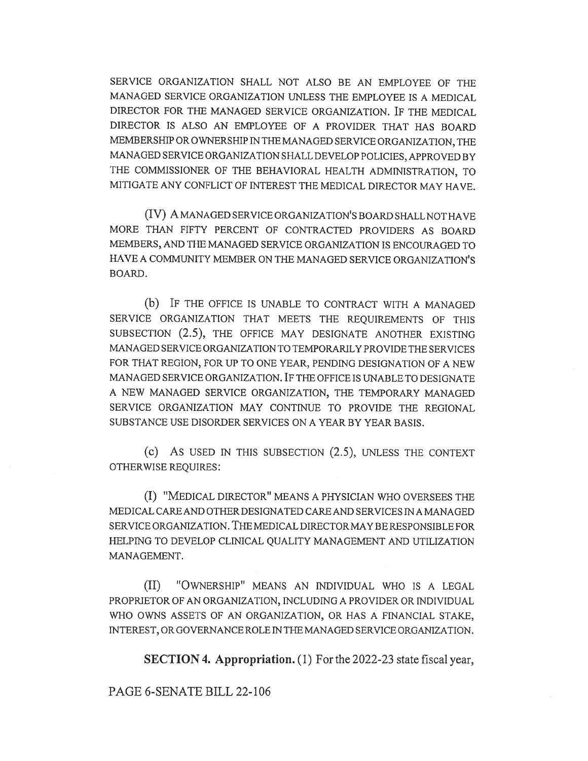SERVICE ORGANIZATION SHALL NOT ALSO BE AN EMPLOYEE OF THE MANAGED SERVICE ORGANIZATION UNLESS THE EMPLOYEE IS A MEDICAL DIRECTOR FOR THE MANAGED SERVICE ORGANIZATION. IF THE MEDICAL DIRECTOR IS ALSO AN EMPLOYEE OF A PROVIDER THAT HAS BOARD MEMBERSHIP OR OWNERSHIP IN THE MANAGED SERVICE ORGANIZATION, THE MANAGED SERVICE ORGANIZATION SHALL DEVELOP POLICIES, APPROVED BY THE COMMISSIONER OF THE BEHAVIORAL HEALTH ADMINISTRATION, TO MITIGATE ANY CONFLICT OF INTEREST THE MEDICAL DIRECTOR MAY HAVE.

(IV) A MANAGED SERVICE ORGANIZATION'S BOARD SHALL NOT HAVE MORE THAN FIFTY PERCENT OF CONTRACTED PROVIDERS AS BOARD MEMBERS, AND THE MANAGED SERVICE ORGANIZATION IS ENCOURAGED TO HAVE A COMMUNITY MEMBER ON THE MANAGED SERVICE ORGANIZATION'S BOARD.

(b) IF THE OFFICE IS UNABLE TO CONTRACT WITH A MANAGED SERVICE ORGANIZATION THAT MEETS THE REQUIREMENTS OF THIS SUBSECTION (2.5), THE OFFICE MAY DESIGNATE ANOTHER EXISTING MANAGED SERVICE ORGANIZATION TO TEMPORARILY PROVIDE THE SERVICES FOR THAT REGION, FOR UP TO ONE YEAR, PENDING DESIGNATION OF A NEW MANAGED SERVICE ORGANIZATION. IF THE OFFICE IS UNABLE TO DESIGNATE A NEW MANAGED SERVICE ORGANIZATION, THE TEMPORARY MANAGED SERVICE ORGANIZATION MAY CONTINUE TO PROVIDE THE REGIONAL SUBSTANCE USE DISORDER SERVICES ON A YEAR BY YEAR BASIS.

(c) AS USED IN THIS SUBSECTION (2.5), UNLESS THE CONTEXT OTHERWISE REQUIRES:

(I) "MEDICAL DIRECTOR" MEANS A PHYSICIAN WHO OVERSEES THE MEDICAL CARE AND OTHER DESIGNATED CARE AND SERVICES IN A MANAGED SERVICE ORGANIZATION. THE MEDICAL DIRECTOR MAY BE RESPONSIBLE FOR HELPING TO DEVELOP CLINICAL QUALITY MANAGEMENT AND UTILIZATION MANAGEMENT.

(II) "OWNERSHIP" MEANS AN INDIVIDUAL WHO IS A LEGAL PROPRIETOR OF AN ORGANIZATION, INCLUDING A PROVIDER OR INDIVIDUAL WHO OWNS ASSETS OF AN ORGANIZATION, OR HAS A FINANCIAL STAKE, INTEREST, OR GOVERNANCE ROLE IN THE MANAGED SERVICE ORGANIZATION.

SECTION 4. Appropriation. (1) For the 2022-23 state fiscal year,

PAGE 6-SENATE BILL 22-106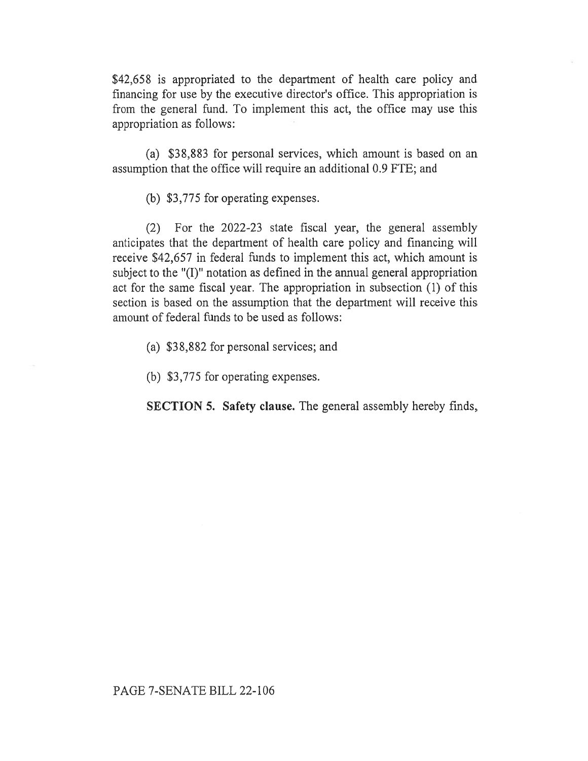\$42,658 is appropriated to the department of health care policy and financing for use by the executive director's office. This appropriation is from the general fund. To implement this act, the office may use this appropriation as follows:

(a) \$38,883 for personal services, which amount is based on an assumption that the office will require an additional 0.9 FTE; and

(b) \$3,775 for operating expenses.

(2) For the 2022-23 state fiscal year, the general assembly anticipates that the department of health care policy and financing will receive \$42,657 in federal funds to implement this act, which amount is subject to the "(I)" notation as defined in the annual general appropriation act for the same fiscal year. The appropriation in subsection (1) of this section is based on the assumption that the department will receive this amount of federal funds to be used as follows:

(a) \$38,882 for personal services; and

(b) \$3,775 for operating expenses.

SECTION 5. Safety clause. The general assembly hereby finds,